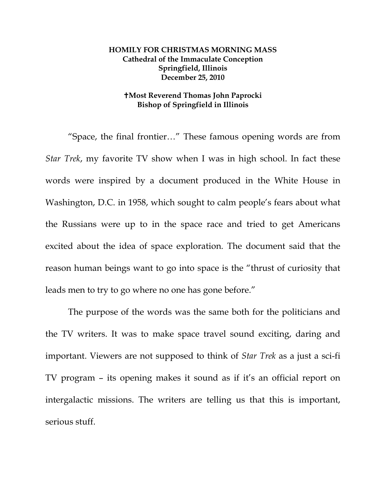## **HOMILY FOR CHRISTMAS MORNING MASS Cathedral of the Immaculate Conception Springfield, Illinois December 25, 2010**

## **Most Reverend Thomas John Paprocki Bishop of Springfield in Illinois**

 "Space, the final frontier…" These famous opening words are from *Star Trek*, my favorite TV show when I was in high school. In fact these words were inspired by a document produced in the White House in Washington, D.C. in 1958, which sought to calm people's fears about what the Russians were up to in the space race and tried to get Americans excited about the idea of space exploration. The document said that the reason human beings want to go into space is the "thrust of curiosity that leads men to try to go where no one has gone before."

The purpose of the words was the same both for the politicians and the TV writers. It was to make space travel sound exciting, daring and important. Viewers are not supposed to think of *Star Trek* as a just a sci-fi TV program – its opening makes it sound as if it's an official report on intergalactic missions. The writers are telling us that this is important, serious stuff.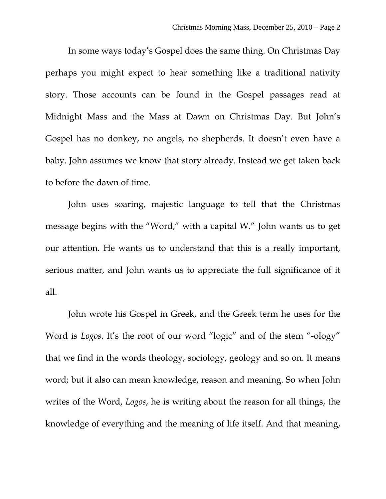In some ways today's Gospel does the same thing. On Christmas Day perhaps you might expect to hear something like a traditional nativity story. Those accounts can be found in the Gospel passages read at Midnight Mass and the Mass at Dawn on Christmas Day. But John's Gospel has no donkey, no angels, no shepherds. It doesn't even have a baby. John assumes we know that story already. Instead we get taken back to before the dawn of time.

John uses soaring, majestic language to tell that the Christmas message begins with the "Word," with a capital W." John wants us to get our attention. He wants us to understand that this is a really important, serious matter, and John wants us to appreciate the full significance of it all.

John wrote his Gospel in Greek, and the Greek term he uses for the Word is *Logos*. It's the root of our word "logic" and of the stem "-ology" that we find in the words theology, sociology, geology and so on. It means word; but it also can mean knowledge, reason and meaning. So when John writes of the Word, *Logos*, he is writing about the reason for all things, the knowledge of everything and the meaning of life itself. And that meaning,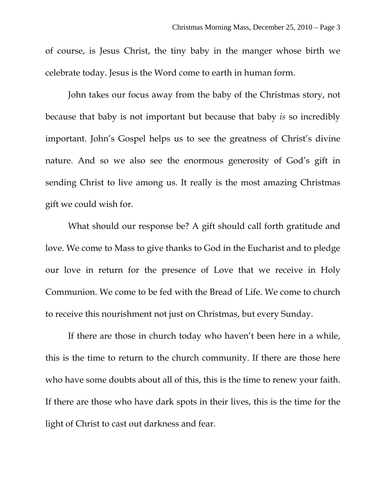of course, is Jesus Christ, the tiny baby in the manger whose birth we celebrate today. Jesus is the Word come to earth in human form.

John takes our focus away from the baby of the Christmas story, not because that baby is not important but because that baby *is* so incredibly important. John's Gospel helps us to see the greatness of Christ's divine nature. And so we also see the enormous generosity of God's gift in sending Christ to live among us. It really is the most amazing Christmas gift we could wish for.

What should our response be? A gift should call forth gratitude and love. We come to Mass to give thanks to God in the Eucharist and to pledge our love in return for the presence of Love that we receive in Holy Communion. We come to be fed with the Bread of Life. We come to church to receive this nourishment not just on Christmas, but every Sunday.

If there are those in church today who haven't been here in a while, this is the time to return to the church community. If there are those here who have some doubts about all of this, this is the time to renew your faith. If there are those who have dark spots in their lives, this is the time for the light of Christ to cast out darkness and fear.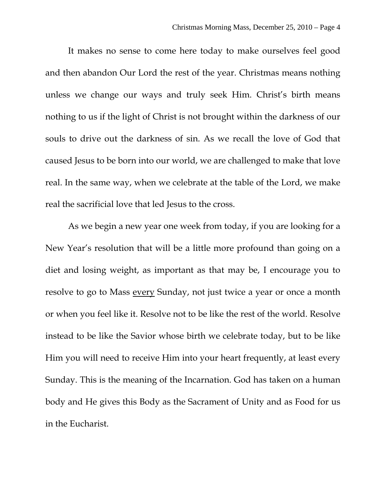It makes no sense to come here today to make ourselves feel good and then abandon Our Lord the rest of the year. Christmas means nothing unless we change our ways and truly seek Him. Christ's birth means nothing to us if the light of Christ is not brought within the darkness of our souls to drive out the darkness of sin. As we recall the love of God that caused Jesus to be born into our world, we are challenged to make that love real. In the same way, when we celebrate at the table of the Lord, we make real the sacrificial love that led Jesus to the cross.

As we begin a new year one week from today, if you are looking for a New Year's resolution that will be a little more profound than going on a diet and losing weight, as important as that may be, I encourage you to resolve to go to Mass every Sunday, not just twice a year or once a month or when you feel like it. Resolve not to be like the rest of the world. Resolve instead to be like the Savior whose birth we celebrate today, but to be like Him you will need to receive Him into your heart frequently, at least every Sunday. This is the meaning of the Incarnation. God has taken on a human body and He gives this Body as the Sacrament of Unity and as Food for us in the Eucharist.